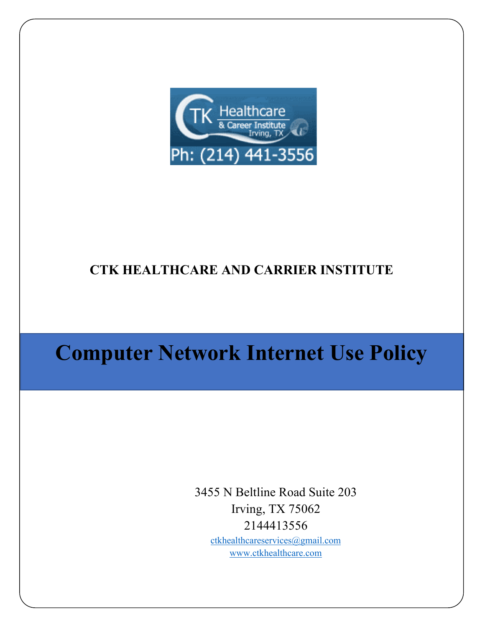

## **CTK HEALTHCARE AND CARRIER INSTITUTE**

# **Computer Network Internet Use Policy**

3455 N Beltline Road Suite 203 Irving, TX 75062 2144413556 [ctkhealthcareservices@gmail.com](mailto:ctkhealthcareservices@gmail.com)

[www.ctkhealthcare.com](http://www.ctkhealthcare.com/)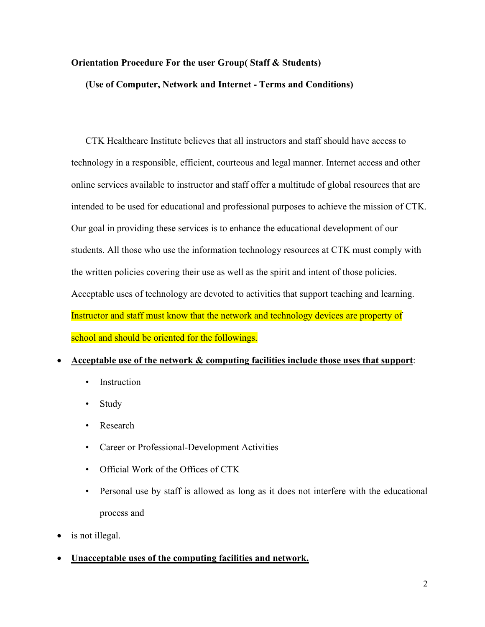### **Orientation Procedure For the user Group( Staff & Students)**

**(Use of Computer, Network and Internet - Terms and Conditions)**

CTK Healthcare Institute believes that all instructors and staff should have access to technology in a responsible, efficient, courteous and legal manner. Internet access and other online services available to instructor and staff offer a multitude of global resources that are intended to be used for educational and professional purposes to achieve the mission of CTK. Our goal in providing these services is to enhance the educational development of our students. All those who use the information technology resources at CTK must comply with the written policies covering their use as well as the spirit and intent of those policies. Acceptable uses of technology are devoted to activities that support teaching and learning. Instructor and staff must know that the network and technology devices are property of school and should be oriented for the followings.

#### • **Acceptable use of the network & computing facilities include those uses that support**:

- Instruction
- Study
- Research
- Career or Professional-Development Activities
- Official Work of the Offices of CTK
- Personal use by staff is allowed as long as it does not interfere with the educational process and
- is not illegal.
- **Unacceptable uses of the computing facilities and network.**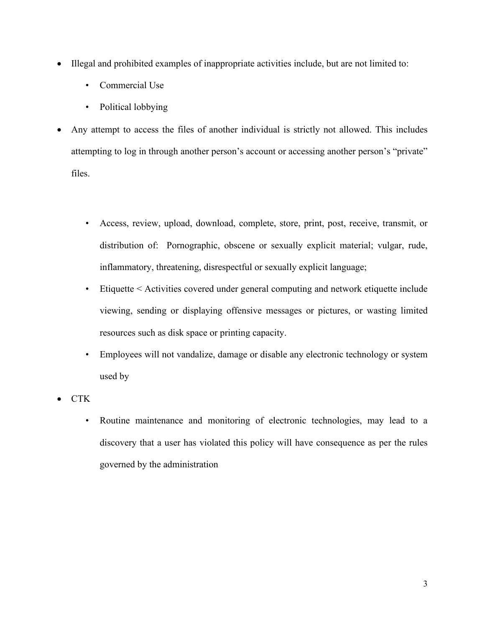- Illegal and prohibited examples of inappropriate activities include, but are not limited to:
	- Commercial Use
	- Political lobbying
- Any attempt to access the files of another individual is strictly not allowed. This includes attempting to log in through another person's account or accessing another person's "private" files.
	- Access, review, upload, download, complete, store, print, post, receive, transmit, or distribution of: Pornographic, obscene or sexually explicit material; vulgar, rude, inflammatory, threatening, disrespectful or sexually explicit language;
	- Etiquette < Activities covered under general computing and network etiquette include viewing, sending or displaying offensive messages or pictures, or wasting limited resources such as disk space or printing capacity.
	- Employees will not vandalize, damage or disable any electronic technology or system used by
- CTK
	- Routine maintenance and monitoring of electronic technologies, may lead to a discovery that a user has violated this policy will have consequence as per the rules governed by the administration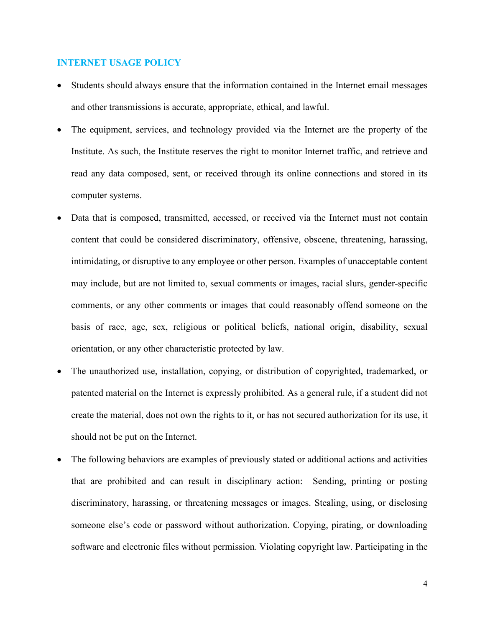#### **INTERNET USAGE POLICY**

- Students should always ensure that the information contained in the Internet email messages and other transmissions is accurate, appropriate, ethical, and lawful.
- The equipment, services, and technology provided via the Internet are the property of the Institute. As such, the Institute reserves the right to monitor Internet traffic, and retrieve and read any data composed, sent, or received through its online connections and stored in its computer systems.
- Data that is composed, transmitted, accessed, or received via the Internet must not contain content that could be considered discriminatory, offensive, obscene, threatening, harassing, intimidating, or disruptive to any employee or other person. Examples of unacceptable content may include, but are not limited to, sexual comments or images, racial slurs, gender-specific comments, or any other comments or images that could reasonably offend someone on the basis of race, age, sex, religious or political beliefs, national origin, disability, sexual orientation, or any other characteristic protected by law.
- The unauthorized use, installation, copying, or distribution of copyrighted, trademarked, or patented material on the Internet is expressly prohibited. As a general rule, if a student did not create the material, does not own the rights to it, or has not secured authorization for its use, it should not be put on the Internet.
- The following behaviors are examples of previously stated or additional actions and activities that are prohibited and can result in disciplinary action: Sending, printing or posting discriminatory, harassing, or threatening messages or images. Stealing, using, or disclosing someone else's code or password without authorization. Copying, pirating, or downloading software and electronic files without permission. Violating copyright law. Participating in the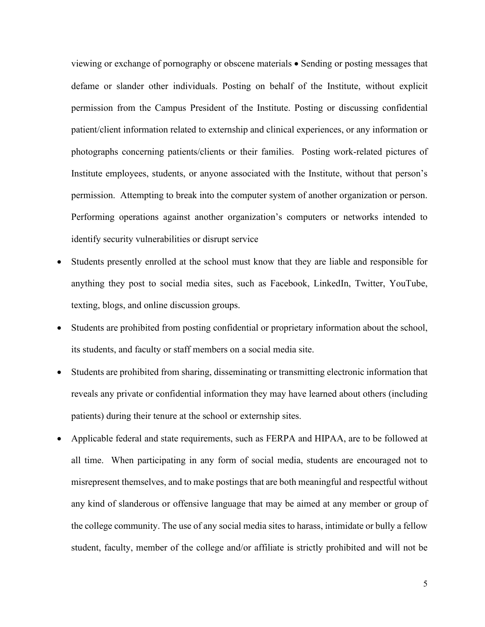viewing or exchange of pornography or obscene materials • Sending or posting messages that defame or slander other individuals. Posting on behalf of the Institute, without explicit permission from the Campus President of the Institute. Posting or discussing confidential patient/client information related to externship and clinical experiences, or any information or photographs concerning patients/clients or their families. Posting work-related pictures of Institute employees, students, or anyone associated with the Institute, without that person's permission. Attempting to break into the computer system of another organization or person. Performing operations against another organization's computers or networks intended to identify security vulnerabilities or disrupt service

- Students presently enrolled at the school must know that they are liable and responsible for anything they post to social media sites, such as Facebook, LinkedIn, Twitter, YouTube, texting, blogs, and online discussion groups.
- Students are prohibited from posting confidential or proprietary information about the school, its students, and faculty or staff members on a social media site.
- Students are prohibited from sharing, disseminating or transmitting electronic information that reveals any private or confidential information they may have learned about others (including patients) during their tenure at the school or externship sites.
- Applicable federal and state requirements, such as FERPA and HIPAA, are to be followed at all time. When participating in any form of social media, students are encouraged not to misrepresent themselves, and to make postings that are both meaningful and respectful without any kind of slanderous or offensive language that may be aimed at any member or group of the college community. The use of any social media sites to harass, intimidate or bully a fellow student, faculty, member of the college and/or affiliate is strictly prohibited and will not be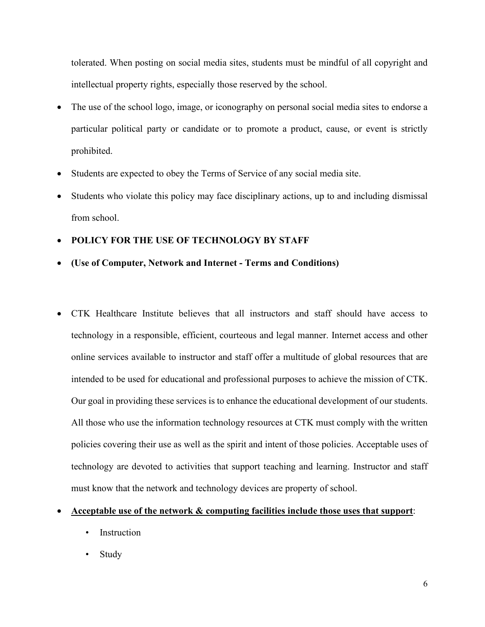tolerated. When posting on social media sites, students must be mindful of all copyright and intellectual property rights, especially those reserved by the school.

- The use of the school logo, image, or iconography on personal social media sites to endorse a particular political party or candidate or to promote a product, cause, or event is strictly prohibited.
- Students are expected to obey the Terms of Service of any social media site.
- Students who violate this policy may face disciplinary actions, up to and including dismissal from school.
- **POLICY FOR THE USE OF TECHNOLOGY BY STAFF**
- **(Use of Computer, Network and Internet - Terms and Conditions)**
- CTK Healthcare Institute believes that all instructors and staff should have access to technology in a responsible, efficient, courteous and legal manner. Internet access and other online services available to instructor and staff offer a multitude of global resources that are intended to be used for educational and professional purposes to achieve the mission of CTK. Our goal in providing these services is to enhance the educational development of our students. All those who use the information technology resources at CTK must comply with the written policies covering their use as well as the spirit and intent of those policies. Acceptable uses of technology are devoted to activities that support teaching and learning. Instructor and staff must know that the network and technology devices are property of school.
- **Acceptable use of the network & computing facilities include those uses that support**:
	- Instruction
	- Study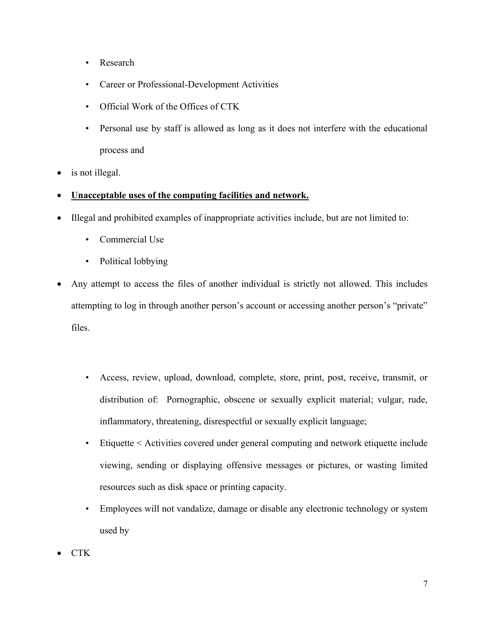- Research
- Career or Professional-Development Activities
- Official Work of the Offices of CTK
- Personal use by staff is allowed as long as it does not interfere with the educational process and
- is not illegal.
- **Unacceptable uses of the computing facilities and network.**
- Illegal and prohibited examples of inappropriate activities include, but are not limited to:
	- Commercial Use
	- Political lobbying
- Any attempt to access the files of another individual is strictly not allowed. This includes attempting to log in through another person's account or accessing another person's "private" files.
	- Access, review, upload, download, complete, store, print, post, receive, transmit, or distribution of: Pornographic, obscene or sexually explicit material; vulgar, rude, inflammatory, threatening, disrespectful or sexually explicit language;
	- Etiquette < Activities covered under general computing and network etiquette include viewing, sending or displaying offensive messages or pictures, or wasting limited resources such as disk space or printing capacity.
	- Employees will not vandalize, damage or disable any electronic technology or system used by
- CTK